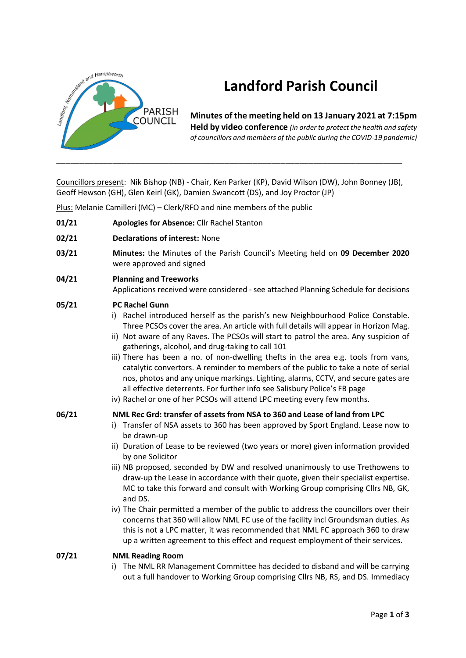

# **Landford Parish Council**

**Minutes of the meeting held on 13 January 2021 at 7:15pm Held by video conference** *(in order to protect the health and safety of councillors and members of the public during the COVID-19 pandemic)* 

Councillors present: Nik Bishop (NB) - Chair, Ken Parker (KP), David Wilson (DW), John Bonney (JB), Geoff Hewson (GH), Glen Keirl (GK), Damien Swancott (DS), and Joy Proctor (JP)

Plus: Melanie Camilleri (MC) – Clerk/RFO and nine members of the public

- **01/21 Apologies for Absence:** Cllr Rachel Stanton
- **02/21 Declarations of interest:** None
- **03/21 Minutes:** the Minute**s** of the Parish Council's Meeting held on **09 December 2020** were approved and signed

## **04/21 Planning and Treeworks**

Applications received were considered - see attached Planning Schedule for decisions

## **05/21 PC Rachel Gunn**

- i) Rachel introduced herself as the parish's new Neighbourhood Police Constable. Three PCSOs cover the area. An article with full details will appear in Horizon Mag.
- ii) Not aware of any Raves. The PCSOs will start to patrol the area. Any suspicion of gatherings, alcohol, and drug-taking to call 101
- iii) There has been a no. of non-dwelling thefts in the area e.g. tools from vans, catalytic convertors. A reminder to members of the public to take a note of serial nos, photos and any unique markings. Lighting, alarms, CCTV, and secure gates are all effective deterrents. For further info see Salisbury Police's FB page
- iv) Rachel or one of her PCSOs will attend LPC meeting every few months.

## **06/21 NML Rec Grd: transfer of assets from NSA to 360 and Lease of land from LPC**

- i) Transfer of NSA assets to 360 has been approved by Sport England. Lease now to be drawn-up
- ii) Duration of Lease to be reviewed (two years or more) given information provided by one Solicitor
- iii) NB proposed, seconded by DW and resolved unanimously to use Trethowens to draw-up the Lease in accordance with their quote, given their specialist expertise. MC to take this forward and consult with Working Group comprising Cllrs NB, GK, and DS.
- iv) The Chair permitted a member of the public to address the councillors over their concerns that 360 will allow NML FC use of the facility incl Groundsman duties. As this is not a LPC matter, it was recommended that NML FC approach 360 to draw up a written agreement to this effect and request employment of their services.

#### **07/21 NML Reading Room**

i) The NML RR Management Committee has decided to disband and will be carrying out a full handover to Working Group comprising Cllrs NB, RS, and DS. Immediacy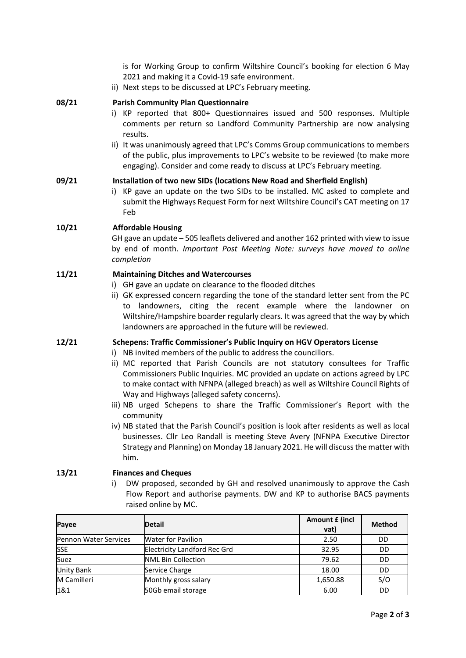is for Working Group to confirm Wiltshire Council's booking for election 6 May 2021 and making it a Covid-19 safe environment.

ii) Next steps to be discussed at LPC's February meeting.

#### **08/21 Parish Community Plan Questionnaire**

- i) KP reported that 800+ Questionnaires issued and 500 responses. Multiple comments per return so Landford Community Partnership are now analysing results.
- ii) It was unanimously agreed that LPC's Comms Group communications to members of the public, plus improvements to LPC's website to be reviewed (to make more engaging). Consider and come ready to discuss at LPC's February meeting.

#### **09/21 Installation of two new SIDs (locations New Road and Sherfield English)**

i) KP gave an update on the two SIDs to be installed. MC asked to complete and submit the Highways Request Form for next Wiltshire Council's CAT meeting on 17 Feb

#### **10/21 Affordable Housing**

GH gave an update – 505 leaflets delivered and another 162 printed with view to issue by end of month. *Important Post Meeting Note: surveys have moved to online completion*

# **11/21 Maintaining Ditches and Watercourses**

- i) GH gave an update on clearance to the flooded ditches
- ii) GK expressed concern regarding the tone of the standard letter sent from the PC to landowners, citing the recent example where the landowner on Wiltshire/Hampshire boarder regularly clears. It was agreed that the way by which landowners are approached in the future will be reviewed.

# **12/21 Schepens: Traffic Commissioner's Public Inquiry on HGV Operators License**

- i) NB invited members of the public to address the councillors.
- ii) MC reported that Parish Councils are not statutory consultees for Traffic Commissioners Public Inquiries. MC provided an update on actions agreed by LPC to make contact with NFNPA (alleged breach) as well as Wiltshire Council Rights of Way and Highways (alleged safety concerns).
- iii) NB urged Schepens to share the Traffic Commissioner's Report with the community
- iv) NB stated that the Parish Council's position is look after residents as well as local businesses. Cllr Leo Randall is meeting Steve Avery (NFNPA Executive Director Strategy and Planning) on Monday 18 January 2021. He will discuss the matter with him.

### **13/21 Finances and Cheques**

i) DW proposed, seconded by GH and resolved unanimously to approve the Cash Flow Report and authorise payments. DW and KP to authorise BACS payments raised online by MC.

| Payee                        | <b>Detail</b>                       | Amount £ (incl<br>vat) | <b>Method</b> |
|------------------------------|-------------------------------------|------------------------|---------------|
| <b>Pennon Water Services</b> | <b>Water for Pavilion</b>           | 2.50                   | DD            |
| <b>SSE</b>                   | <b>Electricity Landford Rec Grd</b> | 32.95                  | DD            |
| Suez                         | <b>NML Bin Collection</b>           | 79.62                  | DD            |
| <b>Unity Bank</b>            | Service Charge                      | 18.00                  | DD            |
| M Camilleri                  | Monthly gross salary                | 1,650.88               | S/O           |
| 1&1                          | 50Gb email storage                  | 6.00                   | DD            |